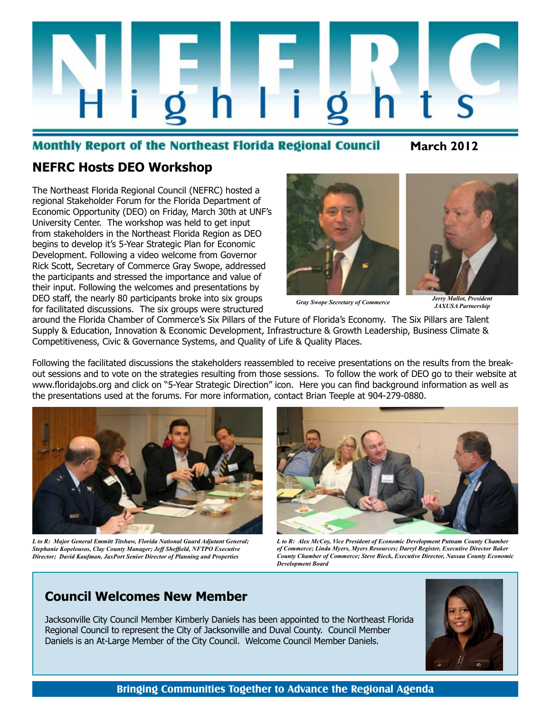

#### **Monthly Report of the Northeast Florida Regional Council**

**March 2012**

#### **NEFRC Hosts DEO Workshop**

The Northeast Florida Regional Council (NEFRC) hosted a regional Stakeholder Forum for the Florida Department of Economic Opportunity (DEO) on Friday, March 30th at UNF's University Center. The workshop was held to get input from stakeholders in the Northeast Florida Region as DEO begins to develop it's 5-Year Strategic Plan for Economic Development. Following a video welcome from Governor Rick Scott, Secretary of Commerce Gray Swope, addressed the participants and stressed the importance and value of their input. Following the welcomes and presentations by DEO staff, the nearly 80 participants broke into six groups for facilitated discussions. The six groups were structured



*Gray Swope Secretary of Commerce Jerry Mallot, President JAXUSA Partnership*

around the Florida Chamber of Commerce's Six Pillars of the Future of Florida's Economy. The Six Pillars are Talent Supply & Education, Innovation & Economic Development, Infrastructure & Growth Leadership, Business Climate & Competitiveness, Civic & Governance Systems, and Quality of Life & Quality Places.

Following the facilitated discussions the stakeholders reassembled to receive presentations on the results from the breakout sessions and to vote on the strategies resulting from those sessions. To follow the work of DEO go to their website at www.floridajobs.org and click on "5-Year Strategic Direction" icon. Here you can find background information as well as the presentations used at the forums. For more information, contact Brian Teeple at 904-279-0880.



*L to R: Major General Emmitt Titshaw, Florida National Guard Adjutant General; Stephanie Kopelousos, Clay County Manager; Jeff Sheffield, NFTPO Executive Director; David Kaufman, JaxPort Senior Director of Planning and Properties*



*L to R: Alex McCoy, Vice President of Economic Development Putnam County Chamber of Commerce; Linda Myers, Myers Resources; Darryl Register, Executive Director Baker County Chamber of Commerce; Steve Rieck, Executive Director, Nassau County Economic Development Board*

#### **Council Welcomes New Member**

Jacksonville City Council Member Kimberly Daniels has been appointed to the Northeast Florida Regional Council to represent the City of Jacksonville and Duval County. Council Member Daniels is an At-Large Member of the City Council. Welcome Council Member Daniels.